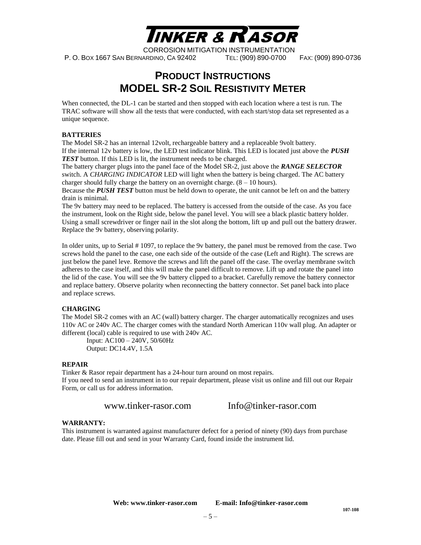

### **PRODUCT INSTRUCTIONS MODEL SR-2 SOIL RESISTIVITY METER**

When connected, the DL-1 can be started and then stopped with each location where a test is run. The TRAC software will show all the tests that were conducted, with each start/stop data set represented as a unique sequence.

#### **BATTERIES**

The Model SR-2 has an internal 12volt, rechargeable battery and a replaceable 9volt battery. If the internal 12v battery is low, the LED test indicator blink. This LED is located just above the *PUSH*  **TEST** button. If this LED is lit, the instrument needs to be charged.

The battery charger plugs into the panel face of the Model SR-2, just above the *RANGE SELECTOR* switch. A *CHARGING INDICATOR* LED will light when the battery is being charged. The AC battery charger should fully charge the battery on an overnight charge.  $(8 - 10$  hours).

Because the *PUSH TEST* button must be held down to operate, the unit cannot be left on and the battery drain is minimal.

The 9v battery may need to be replaced. The battery is accessed from the outside of the case. As you face the instrument, look on the Right side, below the panel level. You will see a black plastic battery holder. Using a small screwdriver or finger nail in the slot along the bottom, lift up and pull out the battery drawer. Replace the 9v battery, observing polarity.

In older units, up to Serial # 1097, to replace the 9v battery, the panel must be removed from the case. Two screws hold the panel to the case, one each side of the outside of the case (Left and Right). The screws are just below the panel leve. Remove the screws and lift the panel off the case. The overlay membrane switch adheres to the case itself, and this will make the panel difficult to remove. Lift up and rotate the panel into the lid of the case. You will see the 9v battery clipped to a bracket. Carefully remove the battery connector and replace battery. Observe polarity when reconnecting the battery connector. Set panel back into place and replace screws.

### **CHARGING**

The Model SR-2 comes with an AC (wall) battery charger. The charger automatically recognizes and uses 110v AC or 240v AC. The charger comes with the standard North American 110v wall plug. An adapter or different (local) cable is required to use with 240v AC.

Input: AC100 – 240V, 50/60Hz Output: DC14.4V, 1.5A

#### **REPAIR**

Tinker & Rasor repair department has a 24-hour turn around on most repairs. If you need to send an instrument in to our repair department, please visit us online and fill out our Repair Form, or call us for address information.

www.tinker-rasor.com Info@tinker-rasor.com

#### **WARRANTY:**

This instrument is warranted against manufacturer defect for a period of ninety (90) days from purchase date. Please fill out and send in your Warranty Card, found inside the instrument lid.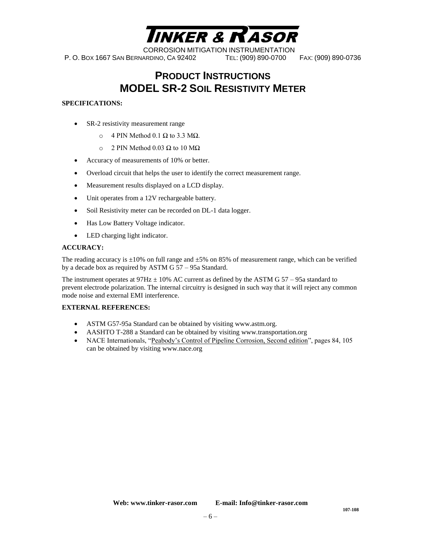

# **PRODUCT INSTRUCTIONS MODEL SR-2 SOIL RESISTIVITY METER**

### **SPECIFICATIONS:**

- SR-2 resistivity measurement range
	- o 4 PIN Method 0.1 Ω to 3.3 MΩ.
	- $\circ$  2 PIN Method 0.03 Ω to 10 MΩ
- Accuracy of measurements of 10% or better.
- Overload circuit that helps the user to identify the correct measurement range.
- Measurement results displayed on a LCD display.
- Unit operates from a 12V rechargeable battery.
- Soil Resistivity meter can be recorded on DL-1 data logger.
- Has Low Battery Voltage indicator.
- LED charging light indicator.

#### **ACCURACY:**

The reading accuracy is  $\pm 10\%$  on full range and  $\pm 5\%$  on 85% of measurement range, which can be verified by a decade box as required by ASTM G 57 – 95a Standard.

The instrument operates at  $97\text{Hz} \pm 10\%$  AC current as defined by the ASTM G 57 – 95a standard to prevent electrode polarization. The internal circuitry is designed in such way that it will reject any common mode noise and external EMI interference.

#### **EXTERNAL REFERENCES:**

- ASTM G57-95a Standard can be obtained by visiting www.astm.org.
- AASHTO T-288 a Standard can be obtained by visiting www.transportation.org
- NACE Internationals, "Peabody's Control of Pipeline Corrosion, Second edition", pages 84, 105 can be obtained by visiting www.nace.org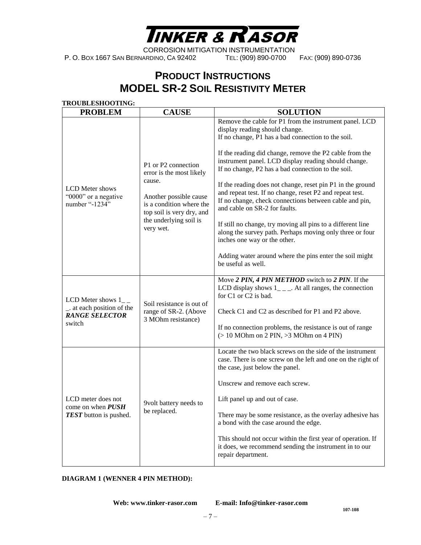

# **PRODUCT INSTRUCTIONS MODEL SR-2 SOIL RESISTIVITY METER**

| <b>TROUBLESHOOTING:</b><br><b>PROBLEM</b>                                             | <b>CAUSE</b>                                                                                                                                                                        | <b>SOLUTION</b>                                                                                                                                                                                                                                                                                                                                                                                                                                                                                                                                                                                                                                                                                                                                                                          |
|---------------------------------------------------------------------------------------|-------------------------------------------------------------------------------------------------------------------------------------------------------------------------------------|------------------------------------------------------------------------------------------------------------------------------------------------------------------------------------------------------------------------------------------------------------------------------------------------------------------------------------------------------------------------------------------------------------------------------------------------------------------------------------------------------------------------------------------------------------------------------------------------------------------------------------------------------------------------------------------------------------------------------------------------------------------------------------------|
| <b>LCD</b> Meter shows<br>"0000" or a negative<br>number "-1234"                      | P1 or P2 connection<br>error is the most likely<br>cause.<br>Another possible cause<br>is a condition where the<br>top soil is very dry, and<br>the underlying soil is<br>very wet. | Remove the cable for P1 from the instrument panel. LCD<br>display reading should change.<br>If no change, P1 has a bad connection to the soil.<br>If the reading did change, remove the P2 cable from the<br>instrument panel. LCD display reading should change.<br>If no change, P2 has a bad connection to the soil.<br>If the reading does not change, reset pin P1 in the ground<br>and repeat test. If no change, reset P2 and repeat test.<br>If no change, check connections between cable and pin,<br>and cable on SR-2 for faults.<br>If still no change, try moving all pins to a different line<br>along the survey path. Perhaps moving only three or four<br>inches one way or the other.<br>Adding water around where the pins enter the soil might<br>be useful as well. |
| LCD Meter shows $1_{-}$<br>at each position of the<br><b>RANGE SELECTOR</b><br>switch | Soil resistance is out of<br>range of SR-2. (Above<br>3 MOhm resistance)                                                                                                            | Move 2 PIN, 4 PIN METHOD switch to 2 PIN. If the<br>LCD display shows $1_{---}$ . At all ranges, the connection<br>for C1 or C2 is bad.<br>Check C1 and C2 as described for P1 and P2 above.<br>If no connection problems, the resistance is out of range<br>$(> 10$ MOhm on 2 PIN, $>3$ MOhm on 4 PIN)                                                                                                                                                                                                                                                                                                                                                                                                                                                                                  |
| LCD meter does not<br>come on when PUSH<br><b>TEST</b> button is pushed.              | 9volt battery needs to<br>be replaced.                                                                                                                                              | Locate the two black screws on the side of the instrument<br>case. There is one screw on the left and one on the right of<br>the case, just below the panel.<br>Unscrew and remove each screw.<br>Lift panel up and out of case.<br>There may be some resistance, as the overlay adhesive has<br>a bond with the case around the edge.<br>This should not occur within the first year of operation. If<br>it does, we recommend sending the instrument in to our<br>repair department.                                                                                                                                                                                                                                                                                                   |

### **DIAGRAM 1 (WENNER 4 PIN METHOD):**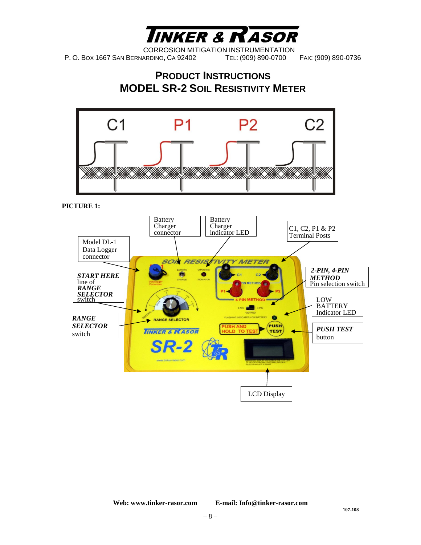

### **PRODUCT INSTRUCTIONS MODEL SR-2 SOIL RESISTIVITY METER**



**PICTURE 1:**

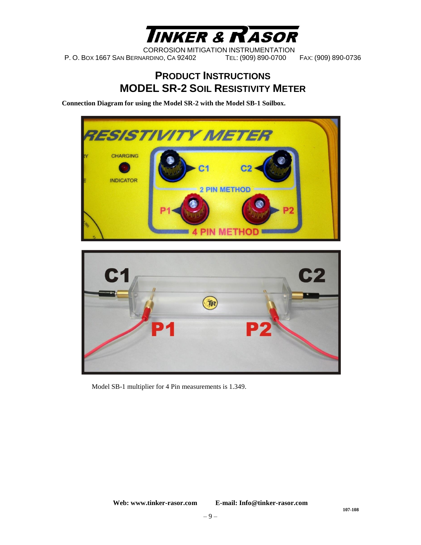

### **PRODUCT INSTRUCTIONS MODEL SR-2 SOIL RESISTIVITY METER**

**Connection Diagram for using the Model SR-2 with the Model SB-1 Soilbox.** 



Model SB-1 multiplier for 4 Pin measurements is 1.349.